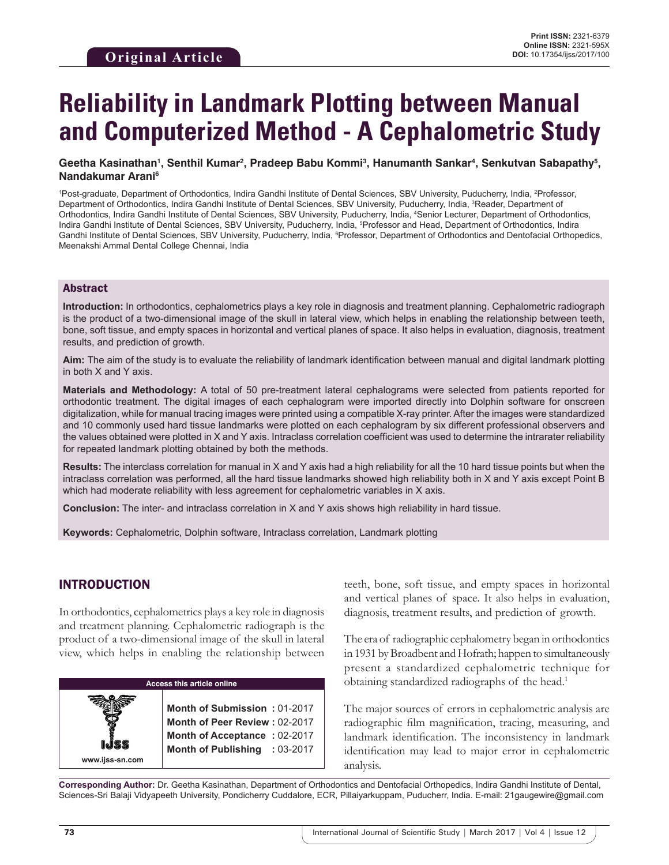# **Reliability in Landmark Plotting between Manual and Computerized Method - A Cephalometric Study**

#### Geetha Kasinathan', Senthil Kumar<sup>2</sup>, Pradeep Babu Kommi<sup>3</sup>, Hanumanth Sankar<sup>4</sup>, Senkutvan Sabapathy<sup>s</sup>, **Nandakumar Arani6**

1 Post-graduate, Department of Orthodontics, Indira Gandhi Institute of Dental Sciences, SBV University, Puducherry, India, 2 Professor, Department of Orthodontics, Indira Gandhi Institute of Dental Sciences, SBV University, Puducherry, India, <sup>3</sup>Reader, Department of Orthodontics, Indira Gandhi Institute of Dental Sciences, SBV University, Puducherry, India, <sup>4</sup>Senior Lecturer, Department of Orthodontics, Indira Gandhi Institute of Dental Sciences, SBV University, Puducherry, India, 5 Professor and Head, Department of Orthodontics, Indira Gandhi Institute of Dental Sciences, SBV University, Puducherry, India, <sup>e</sup>Professor, Department of Orthodontics and Dentofacial Orthopedics, Meenakshi Ammal Dental College Chennai, India

#### Abstract

**Introduction:** In orthodontics, cephalometrics plays a key role in diagnosis and treatment planning. Cephalometric radiograph is the product of a two-dimensional image of the skull in lateral view, which helps in enabling the relationship between teeth, bone, soft tissue, and empty spaces in horizontal and vertical planes of space. It also helps in evaluation, diagnosis, treatment results, and prediction of growth.

**Aim:** The aim of the study is to evaluate the reliability of landmark identification between manual and digital landmark plotting in both X and Y axis.

**Materials and Methodology:** A total of 50 pre-treatment lateral cephalograms were selected from patients reported for orthodontic treatment. The digital images of each cephalogram were imported directly into Dolphin software for onscreen digitalization, while for manual tracing images were printed using a compatible X-ray printer. After the images were standardized and 10 commonly used hard tissue landmarks were plotted on each cephalogram by six different professional observers and the values obtained were plotted in X and Y axis. Intraclass correlation coefficient was used to determine the intrarater reliability for repeated landmark plotting obtained by both the methods.

**Results:** The interclass correlation for manual in X and Y axis had a high reliability for all the 10 hard tissue points but when the intraclass correlation was performed, all the hard tissue landmarks showed high reliability both in X and Y axis except Point B which had moderate reliability with less agreement for cephalometric variables in X axis.

**Conclusion:** The inter- and intraclass correlation in X and Y axis shows high reliability in hard tissue.

**Keywords:** Cephalometric, Dolphin software, Intraclass correlation, Landmark plotting

#### INTRODUCTION

In orthodontics, cephalometrics plays a key role in diagnosis and treatment planning. Cephalometric radiograph is the product of a two-dimensional image of the skull in lateral view, which helps in enabling the relationship between



teeth, bone, soft tissue, and empty spaces in horizontal and vertical planes of space. It also helps in evaluation, diagnosis, treatment results, and prediction of growth.

The era of radiographic cephalometry began in orthodontics in 1931 by Broadbent and Hofrath; happen to simultaneously present a standardized cephalometric technique for obtaining standardized radiographs of the head.1

The major sources of errors in cephalometric analysis are radiographic film magnification, tracing, measuring, and landmark identification. The inconsistency in landmark identification may lead to major error in cephalometric analysis.

**Corresponding Author:** Dr. Geetha Kasinathan, Department of Orthodontics and Dentofacial Orthopedics, Indira Gandhi Institute of Dental, Sciences-Sri Balaji Vidyapeeth University, Pondicherry Cuddalore, ECR, Pillaiyarkuppam, Puducherr, India. E-mail: 21gaugewire@gmail.com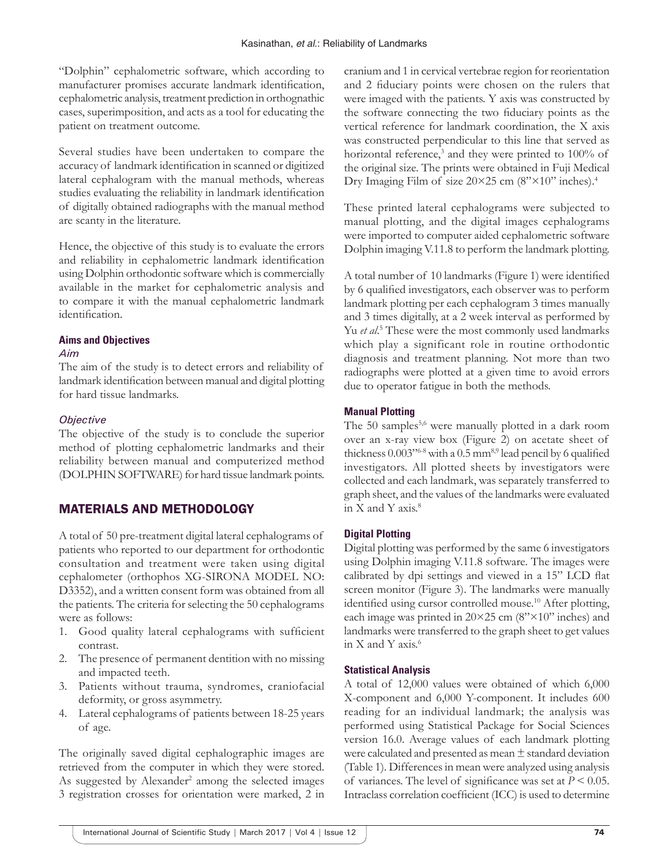"Dolphin" cephalometric software, which according to manufacturer promises accurate landmark identification, cephalometric analysis, treatment prediction in orthognathic cases, superimposition, and acts as a tool for educating the patient on treatment outcome.

Several studies have been undertaken to compare the accuracy of landmark identification in scanned or digitized lateral cephalogram with the manual methods, whereas studies evaluating the reliability in landmark identification of digitally obtained radiographs with the manual method are scanty in the literature.

Hence, the objective of this study is to evaluate the errors and reliability in cephalometric landmark identification using Dolphin orthodontic software which is commercially available in the market for cephalometric analysis and to compare it with the manual cephalometric landmark identification.

#### **Aims and Objectives** *Aim*

The aim of the study is to detect errors and reliability of landmark identification between manual and digital plotting for hard tissue landmarks.

#### *Objective*

The objective of the study is to conclude the superior method of plotting cephalometric landmarks and their reliability between manual and computerized method (DOLPHIN SOFTWARE) for hard tissue landmark points.

# MATERIALS AND METHODOLOGY

A total of 50 pre-treatment digital lateral cephalograms of patients who reported to our department for orthodontic consultation and treatment were taken using digital cephalometer (orthophos XG-SIRONA MODEL NO: D3352), and a written consent form was obtained from all the patients. The criteria for selecting the 50 cephalograms were as follows:

- 1. Good quality lateral cephalograms with sufficient contrast.
- 2. The presence of permanent dentition with no missing and impacted teeth.
- 3. Patients without trauma, syndromes, craniofacial deformity, or gross asymmetry.
- 4. Lateral cephalograms of patients between 18-25 years of age.

The originally saved digital cephalographic images are retrieved from the computer in which they were stored. As suggested by Alexander<sup>2</sup> among the selected images 3 registration crosses for orientation were marked, 2 in

cranium and 1 in cervical vertebrae region for reorientation and 2 fiduciary points were chosen on the rulers that were imaged with the patients. Y axis was constructed by the software connecting the two fiduciary points as the vertical reference for landmark coordination, the X axis was constructed perpendicular to this line that served as horizontal reference,<sup>3</sup> and they were printed to 100% of the original size. The prints were obtained in Fuji Medical Dry Imaging Film of size  $20\times25$  cm  $(8" \times 10"$  inches).<sup>4</sup>

These printed lateral cephalograms were subjected to manual plotting, and the digital images cephalograms were imported to computer aided cephalometric software Dolphin imaging V.11.8 to perform the landmark plotting.

A total number of 10 landmarks (Figure 1) were identified by 6 qualified investigators, each observer was to perform landmark plotting per each cephalogram 3 times manually and 3 times digitally, at a 2 week interval as performed by Yu *et al.*<sup>5</sup> These were the most commonly used landmarks which play a significant role in routine orthodontic diagnosis and treatment planning. Not more than two radiographs were plotted at a given time to avoid errors due to operator fatigue in both the methods.

#### **Manual Plotting**

The 50 samples<sup>5,6</sup> were manually plotted in a dark room over an x-ray view box (Figure 2) on acetate sheet of thickness  $0.003$ "<sup>6-8</sup> with a  $0.5$  mm<sup>8,9</sup> lead pencil by 6 qualified investigators. All plotted sheets by investigators were collected and each landmark, was separately transferred to graph sheet, and the values of the landmarks were evaluated in X and Y axis.8

#### **Digital Plotting**

Digital plotting was performed by the same 6 investigators using Dolphin imaging V.11.8 software. The images were calibrated by dpi settings and viewed in a 15" LCD flat screen monitor (Figure 3). The landmarks were manually identified using cursor controlled mouse.<sup>10</sup> After plotting, each image was printed in 20×25 cm (8"×10" inches) and landmarks were transferred to the graph sheet to get values in  $X$  and  $Y$  axis.<sup>6</sup>

#### **Statistical Analysis**

A total of 12,000 values were obtained of which 6,000 X-component and 6,000 Y-component. It includes 600 reading for an individual landmark; the analysis was performed using Statistical Package for Social Sciences version 16.0. Average values of each landmark plotting were calculated and presented as mean ± standard deviation (Table 1). Differences in mean were analyzed using analysis of variances. The level of significance was set at *P* < 0.05. Intraclass correlation coefficient (ICC) is used to determine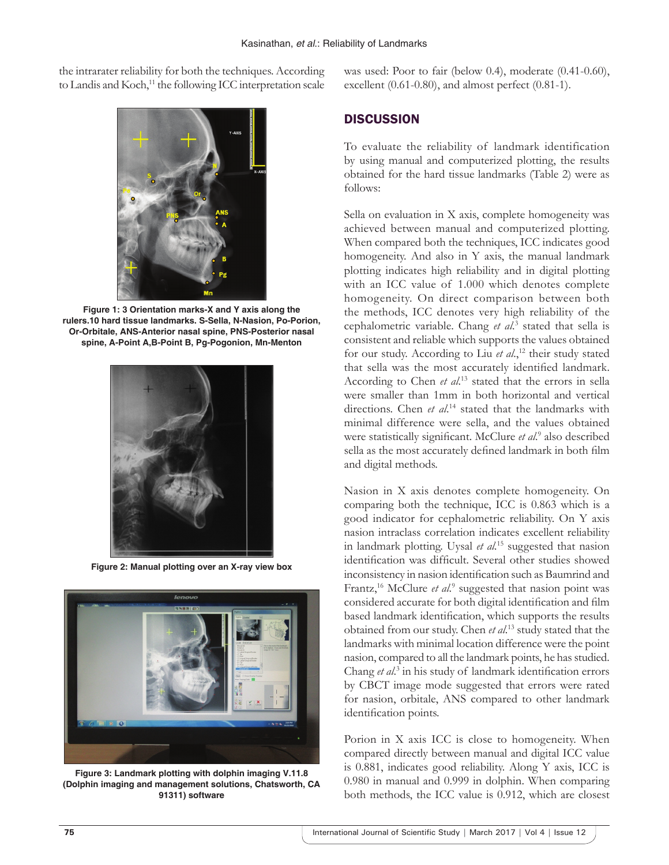the intrarater reliability for both the techniques. According to Landis and Koch,<sup>11</sup> the following ICC interpretation scale



**Figure 1: 3 Orientation marks-X and Y axis along the rulers.10 hard tissue landmarks. S-Sella, N-Nasion, Po-Porion, Or-Orbitale, ANS-Anterior nasal spine, PNS-Posterior nasal spine, A-Point A,B-Point B, Pg-Pogonion, Mn-Menton**



**Figure 2: Manual plotting over an X-ray view box**



**Figure 3: Landmark plotting with dolphin imaging V.11.8 (Dolphin imaging and management solutions, Chatsworth, CA 91311) software**

was used: Poor to fair (below 0.4), moderate (0.41-0.60), excellent (0.61-0.80), and almost perfect (0.81-1).

### **DISCUSSION**

To evaluate the reliability of landmark identification by using manual and computerized plotting, the results obtained for the hard tissue landmarks (Table 2) were as follows:

Sella on evaluation in X axis, complete homogeneity was achieved between manual and computerized plotting. When compared both the techniques, ICC indicates good homogeneity. And also in Y axis, the manual landmark plotting indicates high reliability and in digital plotting with an ICC value of 1.000 which denotes complete homogeneity. On direct comparison between both the methods, ICC denotes very high reliability of the cephalometric variable. Chang *et al*. 3 stated that sella is consistent and reliable which supports the values obtained for our study. According to Liu *et al*.,12 their study stated that sella was the most accurately identified landmark. According to Chen *et al*. 13 stated that the errors in sella were smaller than 1mm in both horizontal and vertical directions. Chen *et al*. 14 stated that the landmarks with minimal difference were sella, and the values obtained were statistically significant. McClure *et al*. 9 also described sella as the most accurately defined landmark in both film and digital methods.

Nasion in X axis denotes complete homogeneity. On comparing both the technique, ICC is 0.863 which is a good indicator for cephalometric reliability. On Y axis nasion intraclass correlation indicates excellent reliability in landmark plotting. Uysal *et al.*15 suggested that nasion identification was difficult. Several other studies showed inconsistency in nasion identification such as Baumrind and Frantz,<sup>16</sup> McClure *et al.*<sup>9</sup> suggested that nasion point was considered accurate for both digital identification and film based landmark identification, which supports the results obtained from our study. Chen *et al*. 13 study stated that the landmarks with minimal location difference were the point nasion, compared to all the landmark points, he has studied. Chang *et al*. 3 in his study of landmark identification errors by CBCT image mode suggested that errors were rated for nasion, orbitale, ANS compared to other landmark identification points.

Porion in X axis ICC is close to homogeneity. When compared directly between manual and digital ICC value is 0.881, indicates good reliability. Along Y axis, ICC is 0.980 in manual and 0.999 in dolphin. When comparing both methods, the ICC value is 0.912, which are closest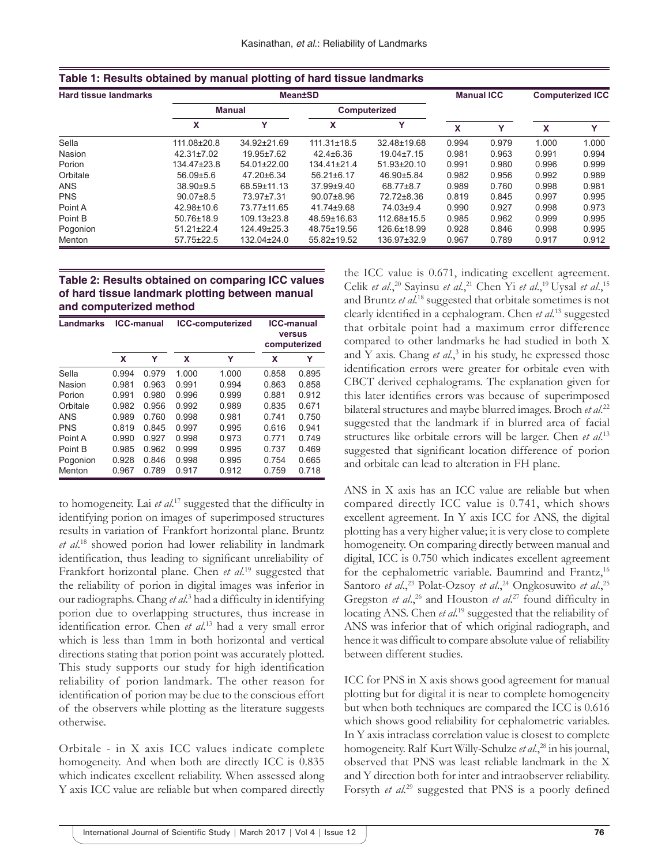| <b>Hard tissue landmarks</b> | <b>Mean±SD</b>   |             |                     |                   |       | <b>Manual ICC</b> |       | <b>Computerized ICC</b> |  |
|------------------------------|------------------|-------------|---------------------|-------------------|-------|-------------------|-------|-------------------------|--|
|                              | <b>Manual</b>    |             | <b>Computerized</b> |                   |       |                   |       |                         |  |
|                              | x                | v           | x                   | v                 | x     | Y                 | x     | v                       |  |
| Sella                        | 111.08±20.8      | 34.92±21.69 | $111.31 \pm 18.5$   | 32.48±19.68       | 0.994 | 0.979             | 1.000 | 1.000                   |  |
| Nasion                       | 42.31±7.02       | 19.95±7.62  | $42.4 \pm 6.36$     | $19.04 \pm 7.15$  | 0.981 | 0.963             | 0.991 | 0.994                   |  |
| Porion                       | 134.47±23.8      | 54.01±22.00 | $134.41\pm21.4$     | $51.93 \pm 20.10$ | 0.991 | 0.980             | 0.996 | 0.999                   |  |
| Orbitale                     | $56.09 \pm 5.6$  | 47.20±6.34  | $56.21 \pm 6.17$    | 46.90±5.84        | 0.982 | 0.956             | 0.992 | 0.989                   |  |
| <b>ANS</b>                   | 38.90±9.5        | 68.59±11.13 | 37.99±9.40          | 68.77±8.7         | 0.989 | 0.760             | 0.998 | 0.981                   |  |
| <b>PNS</b>                   | $90.07\pm8.5$    | 73.97±7.31  | $90.07 \pm 8.96$    | 72.72±8.36        | 0.819 | 0.845             | 0.997 | 0.995                   |  |
| Point A                      | $42.98 \pm 10.6$ | 73.77±11.65 | 41.74±9.68          | 74.03±9.4         | 0.990 | 0.927             | 0.998 | 0.973                   |  |
| Point B                      | 50.76±18.9       | 109.13±23.8 | 48.59±16.63         | 112.68±15.5       | 0.985 | 0.962             | 0.999 | 0.995                   |  |
| Pogonion                     | $51.21 \pm 22.4$ | 124.49±25.3 | 48.75±19.56         | 126.6±18.99       | 0.928 | 0.846             | 0.998 | 0.995                   |  |
| Menton                       | 57.75±22.5       | 132.04±24.0 | 55.82±19.52         | 136.97±32.9       | 0.967 | 0.789             | 0.917 | 0.912                   |  |

#### **Table 1: Results obtained by manual plotting of hard tissue landmarks**

#### **Table 2: Results obtained on comparing ICC values of hard tissue landmark plotting between manual and computerized method**

| <b>Landmarks</b> | <b>ICC-manual</b> |       |       | <b>ICC-computerized</b> | <b>ICC-manual</b><br>versus<br>computerized |       |  |
|------------------|-------------------|-------|-------|-------------------------|---------------------------------------------|-------|--|
|                  | x                 | Y     | x     | Υ                       | x                                           | Υ     |  |
| Sella            | 0.994             | 0.979 | 1.000 | 1.000                   | 0.858                                       | 0.895 |  |
| Nasion           | 0.981             | 0.963 | 0.991 | 0.994                   | 0.863                                       | 0.858 |  |
| Porion           | 0.991             | 0.980 | 0.996 | 0.999                   | 0.881                                       | 0.912 |  |
| Orbitale         | 0.982             | 0.956 | 0.992 | 0.989                   | 0.835                                       | 0.671 |  |
| <b>ANS</b>       | 0.989             | 0.760 | 0.998 | 0.981                   | 0.741                                       | 0.750 |  |
| <b>PNS</b>       | 0.819             | 0.845 | 0.997 | 0.995                   | 0.616                                       | 0.941 |  |
| Point A          | 0.990             | 0.927 | 0.998 | 0.973                   | 0.771                                       | 0.749 |  |
| Point B          | 0.985             | 0.962 | 0.999 | 0.995                   | 0.737                                       | 0.469 |  |
| Pogonion         | 0.928             | 0.846 | 0.998 | 0.995                   | 0.754                                       | 0.665 |  |
| Menton           | 0.967             | 0.789 | 0.917 | 0.912                   | 0.759                                       | 0.718 |  |

to homogeneity. Lai *et al*. <sup>17</sup> suggested that the difficulty in identifying porion on images of superimposed structures results in variation of Frankfort horizontal plane. Bruntz *et al*. 18 showed porion had lower reliability in landmark identification, thus leading to significant unreliability of Frankfort horizontal plane. Chen *et al*. 19 suggested that the reliability of porion in digital images was inferior in our radiographs. Chang *et al*. 3 had a difficulty in identifying porion due to overlapping structures, thus increase in identification error. Chen *et al*. 13 had a very small error which is less than 1mm in both horizontal and vertical directions stating that porion point was accurately plotted. This study supports our study for high identification reliability of porion landmark. The other reason for identification of porion may be due to the conscious effort of the observers while plotting as the literature suggests otherwise.

Orbitale - in X axis ICC values indicate complete homogeneity. And when both are directly ICC is 0.835 which indicates excellent reliability. When assessed along Y axis ICC value are reliable but when compared directly

the ICC value is 0.671, indicating excellent agreement. Celik *et al.*,<sup>20</sup> Sayinsu *et al.*,<sup>21</sup> Chen Yi *et al.*,<sup>19</sup> Uysal *et al.*,<sup>15</sup> and Bruntz *et al*. 18 suggested that orbitale sometimes is not clearly identified in a cephalogram. Chen *et al*. 13 suggested that orbitale point had a maximum error difference compared to other landmarks he had studied in both X and Y axis. Chang *et al.*<sup>3</sup> in his study, he expressed those identification errors were greater for orbitale even with CBCT derived cephalograms. The explanation given for this later identifies errors was because of superimposed bilateral structures and maybe blurred images. Broch *et al*. 22 suggested that the landmark if in blurred area of facial structures like orbitale errors will be larger. Chen *et al*. 13 suggested that significant location difference of porion and orbitale can lead to alteration in FH plane.

ANS in X axis has an ICC value are reliable but when compared directly ICC value is 0.741, which shows excellent agreement. In Y axis ICC for ANS, the digital plotting has a very higher value; it is very close to complete homogeneity. On comparing directly between manual and digital, ICC is 0.750 which indicates excellent agreement for the cephalometric variable. Baumrind and Frantz,<sup>16</sup> Santoro *et al.*,<sup>23</sup> Polat-Ozsoy *et al.*,<sup>24</sup> Ongkosuwito *et al.*,<sup>25</sup> Gregston *et al.*,<sup>26</sup> and Houston *et al.*<sup>27</sup> found difficulty in locating ANS. Chen *et al*. 19 suggested that the reliability of ANS was inferior that of which original radiograph, and hence it was difficult to compare absolute value of reliability between different studies.

ICC for PNS in X axis shows good agreement for manual plotting but for digital it is near to complete homogeneity but when both techniques are compared the ICC is 0.616 which shows good reliability for cephalometric variables. In Y axis intraclass correlation value is closest to complete homogeneity. Ralf Kurt Willy-Schulze *et al*.,28 in his journal, observed that PNS was least reliable landmark in the X and Y direction both for inter and intraobserver reliability. Forsyth *et al.*<sup>29</sup> suggested that PNS is a poorly defined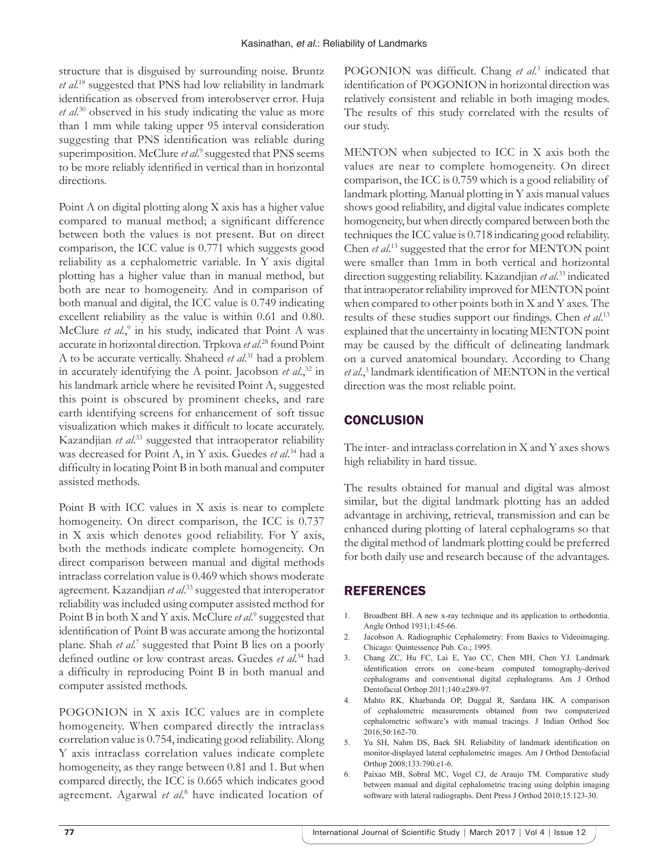structure that is disguised by surrounding noise. Bruntz *et al*. 18 suggested that PNS had low reliability in landmark identification as observed from interobserver error. Huja *et al*. 30 observed in his study indicating the value as more than 1 mm while taking upper 95 interval consideration suggesting that PNS identification was reliable during superimposition. McClure et al.<sup>9</sup> suggested that PNS seems to be more reliably identified in vertical than in horizontal directions.

Point A on digital plotting along X axis has a higher value compared to manual method; a significant difference between both the values is not present. But on direct comparison, the ICC value is 0.771 which suggests good reliability as a cephalometric variable. In Y axis digital plotting has a higher value than in manual method, but both are near to homogeneity. And in comparison of both manual and digital, the ICC value is 0.749 indicating excellent reliability as the value is within 0.61 and 0.80. McClure *et al.*<sup>9</sup> in his study, indicated that Point A was accurate in horizontal direction. Trpkova *et al*. 28 found Point A to be accurate vertically. Shaheed *et al*. 31 had a problem in accurately identifying the A point. Jacobson *et al*.,32 in his landmark article where he revisited Point A, suggested this point is obscured by prominent cheeks, and rare earth identifying screens for enhancement of soft tissue visualization which makes it difficult to locate accurately. Kazandjian *et al*. 33 suggested that intraoperator reliability was decreased for Point A, in Y axis. Guedes *et al*. 34 had a difficulty in locating Point B in both manual and computer assisted methods.

Point B with ICC values in X axis is near to complete homogeneity. On direct comparison, the ICC is 0.737 in X axis which denotes good reliability. For Y axis, both the methods indicate complete homogeneity. On direct comparison between manual and digital methods intraclass correlation value is 0.469 which shows moderate agreement. Kazandjian *et al*. 33 suggested that interoperator reliability was included using computer assisted method for Point B in both X and Y axis. McClure et al.<sup>9</sup> suggested that identification of Point B was accurate among the horizontal plane. Shah et al.<sup>7</sup> suggested that Point B lies on a poorly defined outline or low contrast areas. Guedes *et al*. 34 had a difficulty in reproducing Point B in both manual and computer assisted methods.

POGONION in X axis ICC values are in complete homogeneity. When compared directly the intraclass correlation value is 0.754, indicating good reliability. Along Y axis intraclass correlation values indicate complete homogeneity, as they range between 0.81 and 1. But when compared directly, the ICC is 0.665 which indicates good agreement. Agarwal *et al*. 8 have indicated location of

POGONION was difficult. Chang *et al*. 3 indicated that identification of POGONION in horizontal direction was relatively consistent and reliable in both imaging modes. The results of this study correlated with the results of our study.

MENTON when subjected to ICC in X axis both the values are near to complete homogeneity. On direct comparison, the ICC is 0.759 which is a good reliability of landmark plotting. Manual plotting in Y axis manual values shows good reliability, and digital value indicates complete homogeneity, but when directly compared between both the techniques the ICC value is 0.718 indicating good reliability. Chen *et al*. 13 suggested that the error for MENTON point were smaller than 1mm in both vertical and horizontal direction suggesting reliability. Kazandjian *et al*. 33 indicated that intraoperator reliability improved for MENTON point when compared to other points both in X and Y axes. The results of these studies support our findings. Chen *et al*. 13 explained that the uncertainty in locating MENTON point may be caused by the difficult of delineating landmark on a curved anatomical boundary. According to Chang et *al.*,<sup>3</sup> landmark identification of MENTON in the vertical direction was the most reliable point.

# **CONCLUSION**

The inter- and intraclass correlation in X and Y axes shows high reliability in hard tissue.

The results obtained for manual and digital was almost similar, but the digital landmark plotting has an added advantage in archiving, retrieval, transmission and can be enhanced during plotting of lateral cephalograms so that the digital method of landmark plotting could be preferred for both daily use and research because of the advantages.

# REFERENCES

- 1. Broadbent BH. A new x-ray technique and its application to orthodontia. Angle Orthod 1931;1:45-66.
- 2. Jacobson A. Radiographic Cephalometry: From Basics to Videoimaging. Chicago: Quintessence Pub. Co.; 1995.
- 3. Chang ZC, Hu FC, Lai E, Yao CC, Chen MH, Chen YJ. Landmark identification errors on cone-beam computed tomography-derived cephalograms and conventional digital cephalograms. Am J Orthod Dentofacial Orthop 2011;140:e289-97.
- 4. Mahto RK, Kharbanda OP, Duggal R, Sardana HK. A comparison of cephalometric measurements obtained from two computerized cephalometric software's with manual tracings. J Indian Orthod Soc 2016;50:162-70.
- 5. Yu SH, Nahm DS, Baek SH. Reliability of landmark identification on monitor-displayed lateral cephalometric images. Am J Orthod Dentofacial Orthop 2008;133:790.e1-6.
- 6. Paixao MB, Sobral MC, Vogel CJ, de Araujo TM. Comparative study between manual and digital cephalometric tracing using dolphin imaging software with lateral radiographs. Dent Press J Orthod 2010;15:123-30.